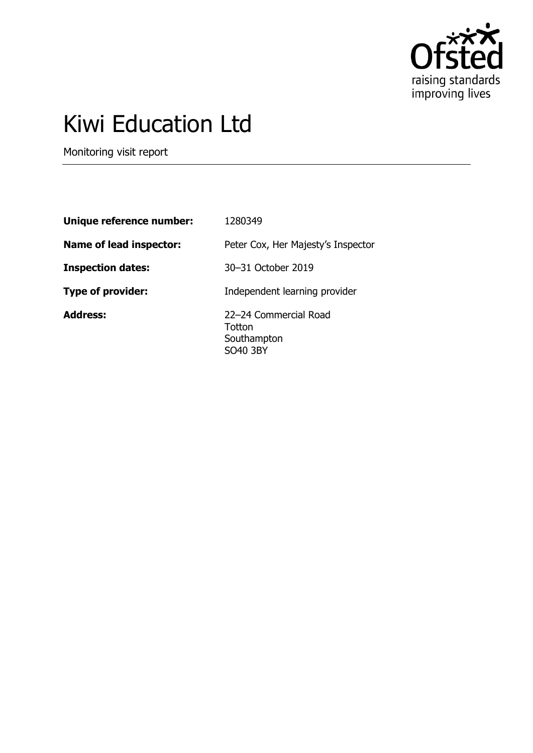

# Kiwi Education Ltd

Monitoring visit report

| Unique reference number: | 1280349                                                    |
|--------------------------|------------------------------------------------------------|
| Name of lead inspector:  | Peter Cox, Her Majesty's Inspector                         |
| <b>Inspection dates:</b> | 30–31 October 2019                                         |
| <b>Type of provider:</b> | Independent learning provider                              |
| <b>Address:</b>          | 22-24 Commercial Road<br>Totton<br>Southampton<br>SO40 3BY |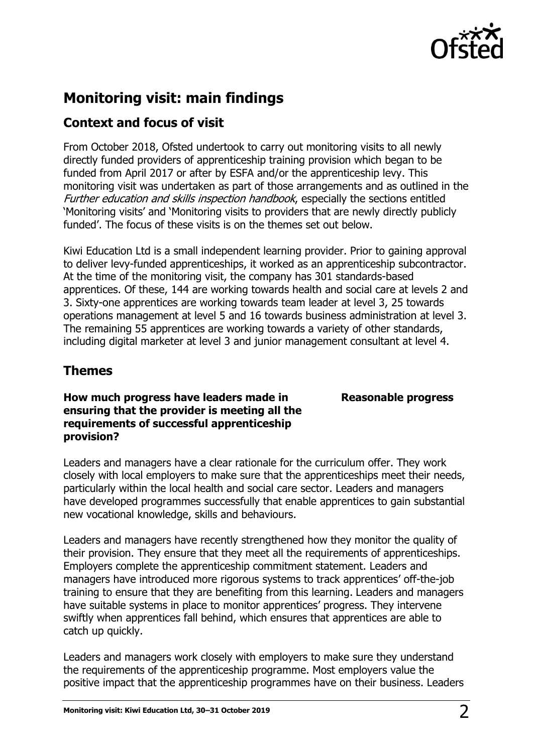

## **Monitoring visit: main findings**

## **Context and focus of visit**

From October 2018, Ofsted undertook to carry out monitoring visits to all newly directly funded providers of apprenticeship training provision which began to be funded from April 2017 or after by ESFA and/or the apprenticeship levy. This monitoring visit was undertaken as part of those arrangements and as outlined in the Further education and skills inspection handbook, especially the sections entitled 'Monitoring visits' and 'Monitoring visits to providers that are newly directly publicly funded'. The focus of these visits is on the themes set out below.

Kiwi Education Ltd is a small independent learning provider. Prior to gaining approval to deliver levy-funded apprenticeships, it worked as an apprenticeship subcontractor. At the time of the monitoring visit, the company has 301 standards-based apprentices. Of these, 144 are working towards health and social care at levels 2 and 3. Sixty-one apprentices are working towards team leader at level 3, 25 towards operations management at level 5 and 16 towards business administration at level 3. The remaining 55 apprentices are working towards a variety of other standards, including digital marketer at level 3 and junior management consultant at level 4.

## **Themes**

**How much progress have leaders made in ensuring that the provider is meeting all the requirements of successful apprenticeship provision?**

Leaders and managers have a clear rationale for the curriculum offer. They work closely with local employers to make sure that the apprenticeships meet their needs, particularly within the local health and social care sector. Leaders and managers have developed programmes successfully that enable apprentices to gain substantial new vocational knowledge, skills and behaviours.

Leaders and managers have recently strengthened how they monitor the quality of their provision. They ensure that they meet all the requirements of apprenticeships. Employers complete the apprenticeship commitment statement. Leaders and managers have introduced more rigorous systems to track apprentices' off-the-job training to ensure that they are benefiting from this learning. Leaders and managers have suitable systems in place to monitor apprentices' progress. They intervene swiftly when apprentices fall behind, which ensures that apprentices are able to catch up quickly.

Leaders and managers work closely with employers to make sure they understand the requirements of the apprenticeship programme. Most employers value the positive impact that the apprenticeship programmes have on their business. Leaders

#### **Reasonable progress**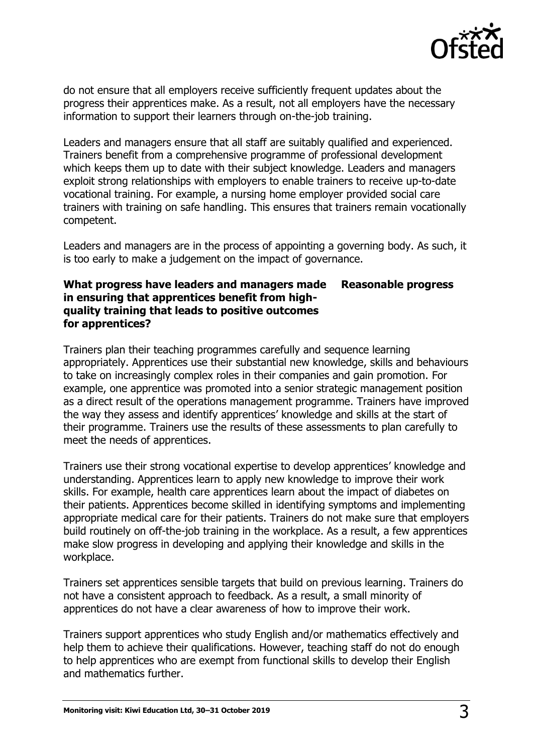

do not ensure that all employers receive sufficiently frequent updates about the progress their apprentices make. As a result, not all employers have the necessary information to support their learners through on-the-job training.

Leaders and managers ensure that all staff are suitably qualified and experienced. Trainers benefit from a comprehensive programme of professional development which keeps them up to date with their subject knowledge. Leaders and managers exploit strong relationships with employers to enable trainers to receive up-to-date vocational training. For example, a nursing home employer provided social care trainers with training on safe handling. This ensures that trainers remain vocationally competent.

Leaders and managers are in the process of appointing a governing body. As such, it is too early to make a judgement on the impact of governance.

#### **What progress have leaders and managers made in ensuring that apprentices benefit from highquality training that leads to positive outcomes for apprentices? Reasonable progress**

Trainers plan their teaching programmes carefully and sequence learning appropriately. Apprentices use their substantial new knowledge, skills and behaviours to take on increasingly complex roles in their companies and gain promotion. For example, one apprentice was promoted into a senior strategic management position as a direct result of the operations management programme. Trainers have improved the way they assess and identify apprentices' knowledge and skills at the start of their programme. Trainers use the results of these assessments to plan carefully to meet the needs of apprentices.

Trainers use their strong vocational expertise to develop apprentices' knowledge and understanding. Apprentices learn to apply new knowledge to improve their work skills. For example, health care apprentices learn about the impact of diabetes on their patients. Apprentices become skilled in identifying symptoms and implementing appropriate medical care for their patients. Trainers do not make sure that employers build routinely on off-the-job training in the workplace. As a result, a few apprentices make slow progress in developing and applying their knowledge and skills in the workplace.

Trainers set apprentices sensible targets that build on previous learning. Trainers do not have a consistent approach to feedback. As a result, a small minority of apprentices do not have a clear awareness of how to improve their work.

Trainers support apprentices who study English and/or mathematics effectively and help them to achieve their qualifications. However, teaching staff do not do enough to help apprentices who are exempt from functional skills to develop their English and mathematics further.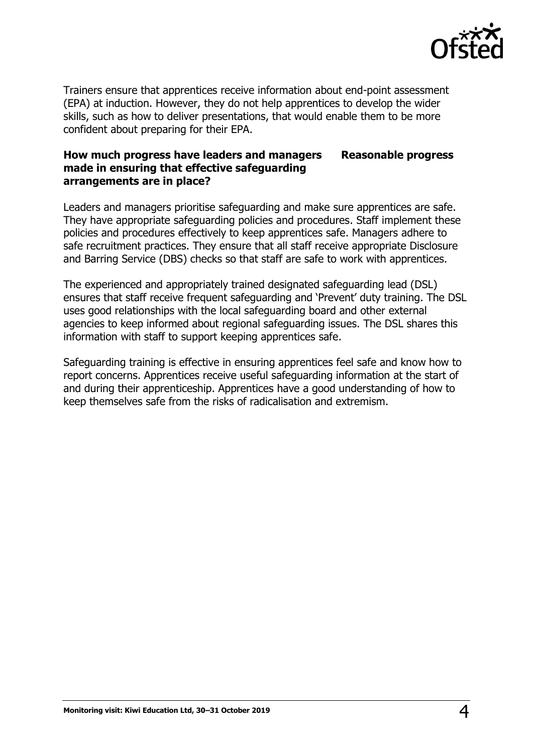

Trainers ensure that apprentices receive information about end-point assessment (EPA) at induction. However, they do not help apprentices to develop the wider skills, such as how to deliver presentations, that would enable them to be more confident about preparing for their EPA.

#### **How much progress have leaders and managers made in ensuring that effective safeguarding arrangements are in place? Reasonable progress**

Leaders and managers prioritise safeguarding and make sure apprentices are safe. They have appropriate safeguarding policies and procedures. Staff implement these policies and procedures effectively to keep apprentices safe. Managers adhere to safe recruitment practices. They ensure that all staff receive appropriate Disclosure and Barring Service (DBS) checks so that staff are safe to work with apprentices.

The experienced and appropriately trained designated safeguarding lead (DSL) ensures that staff receive frequent safeguarding and 'Prevent' duty training. The DSL uses good relationships with the local safeguarding board and other external agencies to keep informed about regional safeguarding issues. The DSL shares this information with staff to support keeping apprentices safe.

Safeguarding training is effective in ensuring apprentices feel safe and know how to report concerns. Apprentices receive useful safeguarding information at the start of and during their apprenticeship. Apprentices have a good understanding of how to keep themselves safe from the risks of radicalisation and extremism.